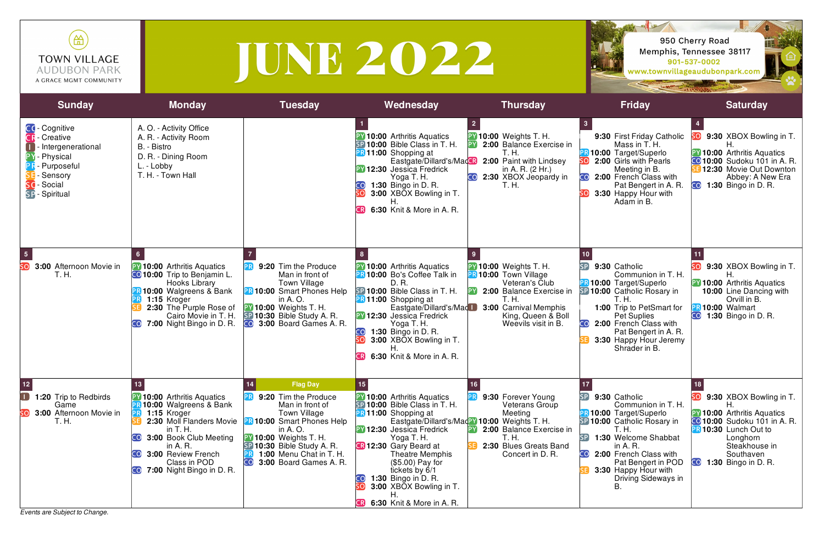*Events are Subject to Change.*





| 笽<br><b>TOWN VILLAGE</b><br><b>AUDUBON PARK</b><br>A GRACE MGMT COMMUNITY                                                              |                                                                                                                                                                                                                                  |                                                                                                                                                                                                                                       | TUNE 2022                                                                                                                                                                                                                                                                                                                                                             |                                                                                                                                                                                            |                                                                                                                                                                                                                                                                                                            | 950 Cherry Road<br>Memphis, Tennessee 38117<br>901-537-0002<br>www.townvillageaudubonpark.com                                                                                                                |
|----------------------------------------------------------------------------------------------------------------------------------------|----------------------------------------------------------------------------------------------------------------------------------------------------------------------------------------------------------------------------------|---------------------------------------------------------------------------------------------------------------------------------------------------------------------------------------------------------------------------------------|-----------------------------------------------------------------------------------------------------------------------------------------------------------------------------------------------------------------------------------------------------------------------------------------------------------------------------------------------------------------------|--------------------------------------------------------------------------------------------------------------------------------------------------------------------------------------------|------------------------------------------------------------------------------------------------------------------------------------------------------------------------------------------------------------------------------------------------------------------------------------------------------------|--------------------------------------------------------------------------------------------------------------------------------------------------------------------------------------------------------------|
| <b>Sunday</b>                                                                                                                          | <b>Monday</b>                                                                                                                                                                                                                    | <b>Tuesday</b>                                                                                                                                                                                                                        | Wednesday                                                                                                                                                                                                                                                                                                                                                             | <b>Thursday</b>                                                                                                                                                                            | <b>Friday</b>                                                                                                                                                                                                                                                                                              | <b>Saturday</b>                                                                                                                                                                                              |
| CC-Cognitive<br><b>R</b> - Creative<br>- Intergenerational<br>Physical<br>- Purposeful<br>Sensory<br>- Social<br><b>SP</b> - Spiritual | A. O. - Activity Office<br>A. R. - Activity Room<br>B. - Bistro<br>D. R. - Dining Room<br>L. - Lobby<br>T. H. - Town Hall                                                                                                        |                                                                                                                                                                                                                                       | <b>Y</b> 10:00 Arthritis Aquatics<br>SP 10:00 Bible Class in T. H.<br><b>B</b> 11:00 Shopping at<br>Eastgate/Dillard's/MadCR<br><b>PY 12:30</b> Jessica Fredrick<br>Yoga T. H.<br><b>1:30 Bingo in D. R.</b><br>3:00 XBOX Bowling in T.<br>6:30 Knit & More in A. R.<br><b>CRI</b>                                                                                    | <b>PY 10:00 Weights T. H.</b><br>2:00 Balance Exercise in<br>T. H.<br>2:00 Paint with Lindsey<br>in A. R. $(2 Hr.)$<br>2:30 XBOX Jeopardy in<br>CO<br>T. H.                                | $\mathbf{3}$<br>9:30 First Friday Catholic<br>Mass in T. H.<br><b>PR 10:00 Target/Superlo</b><br>2:00 Girls with Pearls<br>Meeting in B.<br>2:00 French Class with<br>Pat Bengert in A. R.<br>3:30 Happy Hour with<br>Adam in B.                                                                           | 50 9:30 XBOX Bowling in T.<br><b>PY 10:00 Arthritis Aquatics</b><br><b>CO 10:00</b> Sudoku 101 in A. R.<br>12:30 Movie Out Downton<br>Abbey: A New Era<br><b>CO</b> 1:30 Bingo in D. R.                      |
| $\overline{\mathbf{5}}$<br>sol<br>3:00 Afternoon Movie in<br>T. H.                                                                     | <b>PY 10:00</b> Arthritis Aquatics<br><b>CO 10:00</b> Trip to Benjamin L.<br>Hooks Library<br><b>B 10:00 Walgreens &amp; Bank</b><br>1:15 Kroger<br>2:30 The Purple Rose of<br>Cairo Movie in T. H.<br>7:00 Night Bingo in D. R. | 9:20 Tim the Produce<br>Man in front of<br><b>Town Village</b><br><b>PR 10:00 Smart Phones Help</b><br>in A. O.<br><b>PY 10:00 Weights T. H.</b><br>SP 10:30 Bible Study A. R.<br><b>CO</b> 3:00 Board Games A. R.                    | 8 <sup>1</sup><br><b>PY 10:00</b> Arthritis Aquatics<br>PR 10:00 Bo's Coffee Talk in<br>D. R.<br>SP 10:00 Bible Class in T. H.<br><b>PR 11:00</b> Shopping at<br>Eastgate/Dillard's/Mad<br><b>PY 12:30</b> Jessica Fredrick<br>Yoga T. H.<br><b>CO</b><br><b>1:30 Bingo in D. R.</b><br>3:00 XBOX Bowling in T.<br>SO <sub>2</sub><br>6:30 Knit & More in A. R.<br>CR | <b>PY 10:00 Weights T. H.</b><br><b>PR 10:00 Town Village</b><br>Veteran's Club<br>2:00 Balance Exercise in<br>T. H.<br>3:00 Carnival Memphis<br>King, Queen & Boll<br>Weevils visit in B. | 10 <sub>1</sub><br>$\mathsf{S}\mathsf{P}$<br>9:30 Catholic<br>Communion in T. H.<br><b>PR 10:00 Target/Superlo</b><br>SP 10:00 Catholic Rosary in<br>T. H.<br>1:00 Trip to PetSmart for<br><b>Pet Suplies</b><br>2:00 French Class with<br>Pat Bengert in A. R.<br>3:30 Happy Hour Jeremy<br>Shrader in B. | 9:30 XBOX Bowling in T.<br>н<br><b>PY 10:00</b> Arthritis Aquatics<br>10:00 Line Dancing with<br>Orvill in B.<br><b>PR 10:00 Walmart</b><br><b>CO</b> 1:30 Bingo in D. R.                                    |
| 12<br>$\blacksquare$<br><b>1:20</b> Trip to Redbirds<br>Game<br>3:00 Afternoon Movie in<br>T. H.                                       | 10:00 Arthritis Aquatics<br>10:00 Walgreens & Bank<br>1:15 Kroger<br>2:30 Moll Flanders Movie<br>in T. H.<br>3:00 Book Club Meeting<br>in $A. R.$<br>3:00 Review French<br>Class in POD<br><b>CO</b> 7:00 Night Bingo in D. R.   | <b>Flag Day</b><br>9:20 Tim the Produce<br>Man in front of<br>Town Village<br>10:00 Smart Phones Help<br>in A. O.<br><b>PY 10:00 Weights T. H.</b><br>SP 10:30 Bible Study A. R.<br>1:00 Menu Chat in T. H.<br>3:00 Board Games A. R. | 15 <sub>1</sub><br><b>PV</b> 10:00 Arthritis Aquatics<br>SP 10:00 Bible Class in T. H.<br><b>PR 11:00</b> Shopping at<br><b>PY 12:30</b> Jessica Fredrick<br>Yoga T. H.<br><b>R</b> 12:30 Gary Beard at<br>Theatre Memphis<br>$($5.00)$ Pay for<br>tickets by 6/1<br>1:30 Bingo in D. R.<br>3:00 XBOX Bowling in T.<br>6:30 Knit & More in A. R.<br>CR                | 9:30 Forever Young<br><b>Veterans Group</b><br>Meeting<br>Eastgate/Dillard's/Maday 10:00 Weights T. H.<br>2:00 Balance Exercise in<br>T. H.<br>2:30 Blues Greats Band<br>Concert in D. R.  | SP<br>9:30 Catholic<br>Communion in T. H.<br><b>R10:00 Target/Superlo</b><br>SP 10:00 Catholic Rosary in<br>T. H.<br>1:30 Welcome Shabbat<br>in A. R.<br>2:00 French Class with<br>Pat Bengert in POD<br>3:30 Happy Hour with<br>Driving Sideways in                                                       | 9:30 XBOX Bowling in T.<br><b>PY 10:00</b> Arthritis Aquatics<br><b>CO</b> 10:00 Sudoku 101 in A. R.<br><b>PR 10:30</b> Lunch Out to<br>Longhorn<br>Steakhouse in<br>Southaven<br><b>1:30</b> Bingo in D. R. |